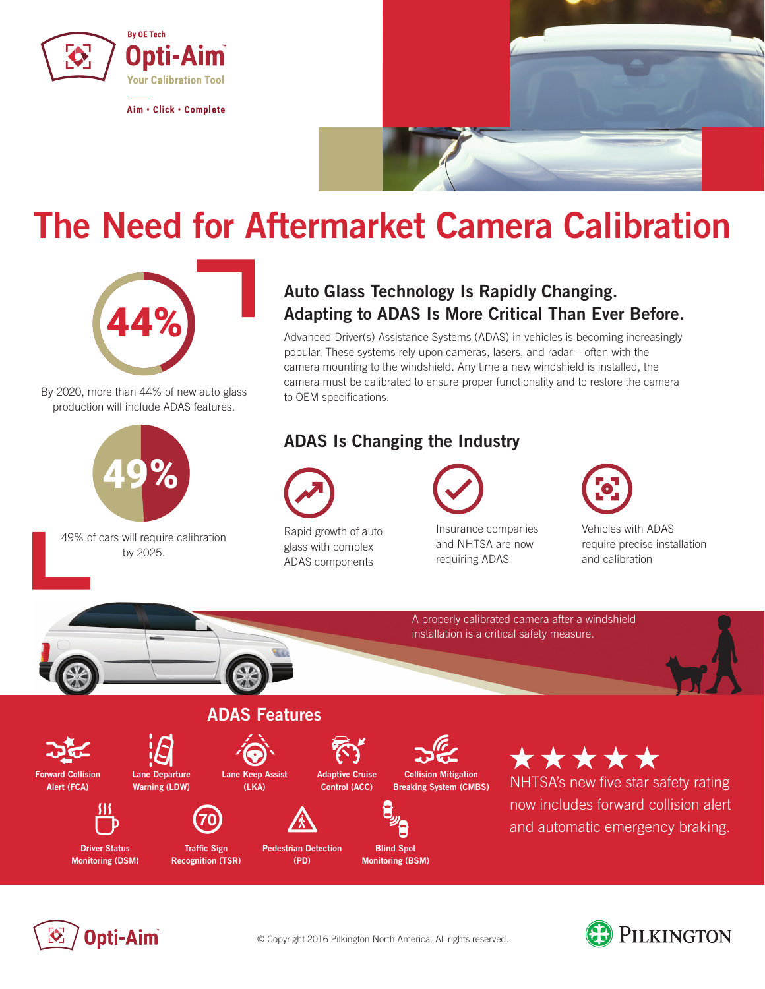

Aim · Click · Complete



## **The Need for Aftermarket Camera Calibration**



By 2020, more than 44% of new auto glass production will include ADAS features.



49% of cars will require calibration by 2025.

### **Auto Glass Technology Is Rapidly Changing. Adapting to ADAS Is More Critical Than Ever Before.**

Advanced Driver(s) Assistance Systems (ADAS) in vehicles is becoming increasingly popular. These systems rely upon cameras, lasers, and radar – often with the camera mounting to the windshield. Any time a new windshield is installed, the camera must be calibrated to ensure proper functionality and to restore the camera to OEM specifications.

### **ADAS Is Changing the Industry**



Rapid growth of auto glass with complex ADAS components



Insurance companies and NHTSA are now requiring ADAS



Vehicles with ADAS require precise installation and calibration